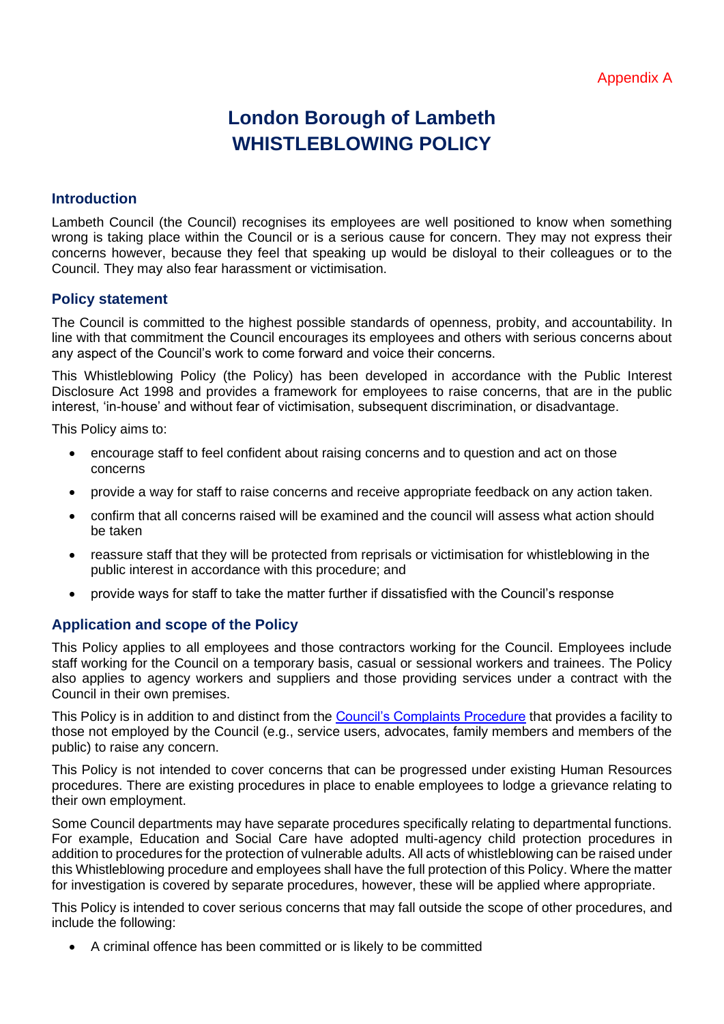# **London Borough of Lambeth** WHISTLEBLOWING POLICY

## **Introduction**

Lambeth Council (the Council) recognises its employees are well positioned to know when something wrong is taking place within the Council or is a serious cause for concern. They may not express their concerns however, because they feel that speaking up would be disloyal to their colleagues or to the Council. They may also fear harassment or victimisation.

## **Policy statement**

The Council is committed to the highest possible standards of openness, probity, and accountability. In line with that commitment the Council encourages its employees and others with serious concerns about any aspect of the Council's work to come forward and voice their concerns.

This Whistleblowing Policy (the Policy) has been developed in accordance with the Public Interest Disclosure Act 1998 and provides a framework for employees to raise concerns, that are in the public interest, 'in-house' and without fear of victimisation, subsequent discrimination, or disadvantage.

This Policy aims to:

- encourage staff to feel confident about raising concerns and to question and act on those concerns
- provide a way for staff to raise concerns and receive appropriate feedback on any action taken.
- confirm that all concerns raised will be examined and the council will assess what action should be taken
- reassure staff that they will be protected from reprisals or victimisation for whistleblowing in the public interest in accordance with this procedure; and
- provide ways for staff to take the matter further if dissatisfied with the Council's response

# **Application and scope of the Policy**

This Policy applies to all employees and those contractors working for the Council. Employees include staff working for the Council on a temporary basis, casual or sessional workers and trainees. The Policy also applies to agency workers and suppliers and those providing services under a contract with the Council in their own premises.

This Policy is in addition to and distinct from the [Council's Complaints Procedure](https://beta.lambeth.gov.uk/about-council/contact-us/make-complaint) that provides a facility to those not employed by the Council (e.g., service users, advocates, family members and members of the public) to raise any concern.

This Policy is not intended to cover concerns that can be progressed under existing Human Resources procedures. There are existing procedures in place to enable employees to lodge a grievance relating to their own employment.

Some Council departments may have separate procedures specifically relating to departmental functions. For example, Education and Social Care have adopted multi-agency child protection procedures in addition to procedures for the protection of vulnerable adults. All acts of whistleblowing can be raised under this Whistleblowing procedure and employees shall have the full protection of this Policy. Where the matter for investigation is covered by separate procedures, however, these will be applied where appropriate.

This Policy is intended to cover serious concerns that may fall outside the scope of other procedures, and include the following:

• A criminal offence has been committed or is likely to be committed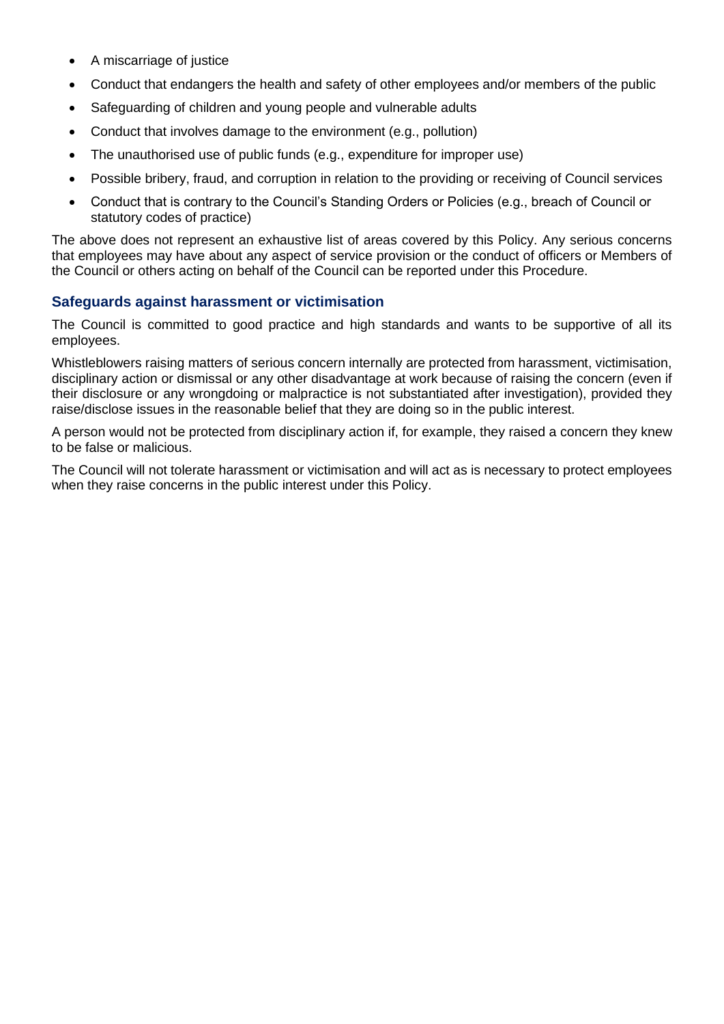- A miscarriage of justice
- Conduct that endangers the health and safety of other employees and/or members of the public
- Safeguarding of children and young people and vulnerable adults
- Conduct that involves damage to the environment (e.g., pollution)
- The unauthorised use of public funds (e.g., expenditure for improper use)
- Possible bribery, fraud, and corruption in relation to the providing or receiving of Council services
- Conduct that is contrary to the Council's Standing Orders or Policies (e.g., breach of Council or statutory codes of practice)

The above does not represent an exhaustive list of areas covered by this Policy. Any serious concerns that employees may have about any aspect of service provision or the conduct of officers or Members of the Council or others acting on behalf of the Council can be reported under this Procedure.

# **Safeguards against harassment or victimisation**

The Council is committed to good practice and high standards and wants to be supportive of all its employees.

Whistleblowers raising matters of serious concern internally are protected from harassment, victimisation, disciplinary action or dismissal or any other disadvantage at work because of raising the concern (even if their disclosure or any wrongdoing or malpractice is not substantiated after investigation), provided they raise/disclose issues in the reasonable belief that they are doing so in the public interest.

A person would not be protected from disciplinary action if, for example, they raised a concern they knew to be false or malicious.

The Council will not tolerate harassment or victimisation and will act as is necessary to protect employees when they raise concerns in the public interest under this Policy.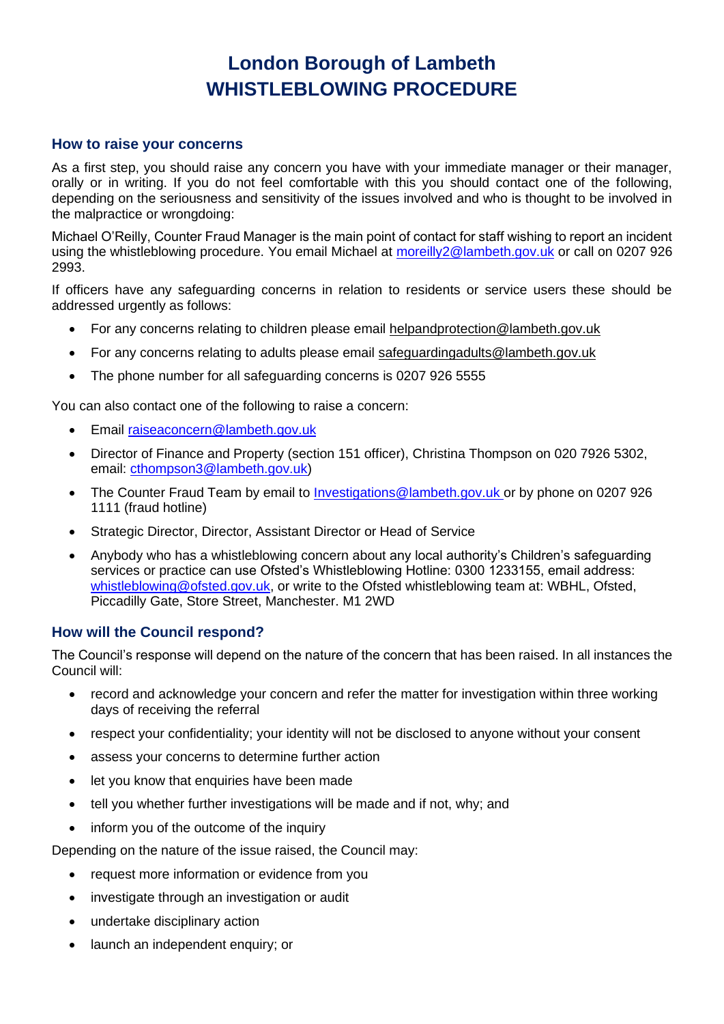# **London Borough of Lambeth** WHISTLEBLOWING PROCEDURE

#### **How to raise your concerns**

As a first step, you should raise any concern you have with your immediate manager or their manager, orally or in writing. If you do not feel comfortable with this you should contact one of the following, depending on the seriousness and sensitivity of the issues involved and who is thought to be involved in the malpractice or wrongdoing:

Michael O'Reilly, Counter Fraud Manager is the main point of contact for staff wishing to report an incident using the whistleblowing procedure. You email Michael at [moreilly2@lambeth.gov.uk](mailto:moreilly2@lambeth.gov.uk) or call on 0207 926 2993.

If officers have any safeguarding concerns in relation to residents or service users these should be addressed urgently as follows:

- For any concerns relating to children please email [helpandprotection@lambeth.gov.uk](mailto:helpandprotection@lambeth.gov.uk)
- For any concerns relating to adults please email [safeguardingadults@lambeth.gov.uk](mailto:safeguardingadults@lambeth.gov.uk)
- The phone number for all safeguarding concerns is 0207 926 5555

You can also contact one of the following to raise a concern:

- Email [raiseaconcern@lambeth.gov.uk](mailto:raiseaconcern@lambeth.gov.uk)
- Director of Finance and Property (section 151 officer), Christina Thompson on 020 7926 5302, email: [cthompson3@lambeth.gov.uk\)](mailto:cthompson3@lambeth.gov.uk)
- The Counter Fraud Team by email to [Investigations@lambeth.gov.uk](mailto:Investigations@lambeth.gov.uk) or by phone on 0207 926 1111 (fraud hotline)
- Strategic Director, Director, Assistant Director or Head of Service
- Anybody who has a whistleblowing concern about any local authority's Children's safeguarding services or practice can use Ofsted's Whistleblowing Hotline: 0300 1233155, email address: [whistleblowing@ofsted.gov.uk,](mailto:whistleblowing@ofsted.gov.uk) or write to the Ofsted whistleblowing team at: WBHL, Ofsted, Piccadilly Gate, Store Street, Manchester. M1 2WD

#### **How will the Council respond?**

The Council's response will depend on the nature of the concern that has been raised. In all instances the Council will:

- record and acknowledge your concern and refer the matter for investigation within three working days of receiving the referral
- respect your confidentiality; your identity will not be disclosed to anyone without your consent
- assess your concerns to determine further action
- let you know that enquiries have been made
- tell you whether further investigations will be made and if not, why; and
- inform you of the outcome of the inquiry

Depending on the nature of the issue raised, the Council may:

- request more information or evidence from you
- investigate through an investigation or audit
- undertake disciplinary action
- launch an independent enquiry; or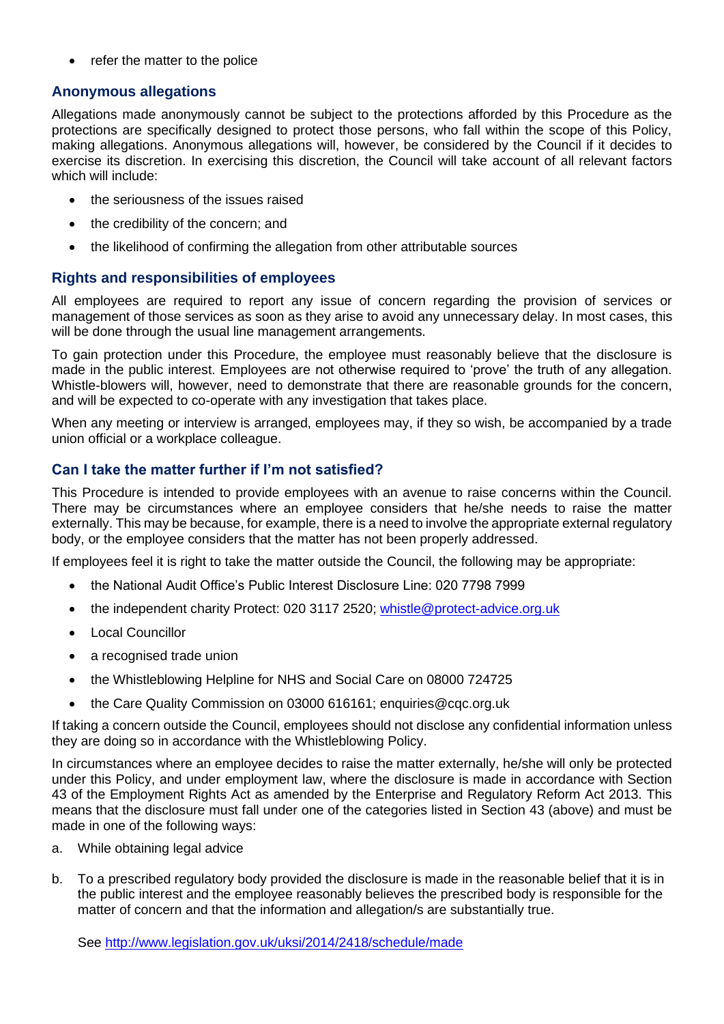• refer the matter to the police

# **Anonymous allegations**

Allegations made anonymously cannot be subject to the protections afforded by this Procedure as the protections are specifically designed to protect those persons, who fall within the scope of this Policy, making allegations. Anonymous allegations will, however, be considered by the Council if it decides to exercise its discretion. In exercising this discretion, the Council will take account of all relevant factors which will include:

- the seriousness of the issues raised
- the credibility of the concern; and
- the likelihood of confirming the allegation from other attributable sources

## **Rights and responsibilities of employees**

All employees are required to report any issue of concern regarding the provision of services or management of those services as soon as they arise to avoid any unnecessary delay. In most cases, this will be done through the usual line management arrangements.

To gain protection under this Procedure, the employee must reasonably believe that the disclosure is made in the public interest. Employees are not otherwise required to 'prove' the truth of any allegation. Whistle-blowers will, however, need to demonstrate that there are reasonable grounds for the concern, and will be expected to co-operate with any investigation that takes place.

When any meeting or interview is arranged, employees may, if they so wish, be accompanied by a trade union official or a workplace colleague.

# **Can I take the matter further if I'm not satisfied?**

This Procedure is intended to provide employees with an avenue to raise concerns within the Council. There may be circumstances where an employee considers that he/she needs to raise the matter externally. This may be because, for example, there is a need to involve the appropriate external regulatory body, or the employee considers that the matter has not been properly addressed.

If employees feel it is right to take the matter outside the Council, the following may be appropriate:

- the National Audit Office's Public Interest Disclosure Line: 020 7798 7999
- the independent charity Protect: 020 3117 2520; [whistle@protect-advice.org.uk](mailto:whistle@protect-advice.org.uk)
- Local Councillor
- a recognised trade union
- the Whistleblowing Helpline for NHS and Social Care on 08000 724725
- the Care Quality Commission on 03000 616161; [enquiries@cqc.org.uk](mailto:enquiries@cqc.org.uk)

If taking a concern outside the Council, employees should not disclose any confidential information unless they are doing so in accordance with the Whistleblowing Policy.

In circumstances where an employee decides to raise the matter externally, he/she will only be protected under this Policy, and under employment law, where the disclosure is made in accordance with Section 43 of the Employment Rights Act as amended by the Enterprise and Regulatory Reform Act 2013. This means that the disclosure must fall under one of the categories listed in Section 43 (above) and must be made in one of the following ways:

- a. While obtaining legal advice
- b. To a prescribed regulatory body provided the disclosure is made in the reasonable belief that it is in the public interest and the employee reasonably believes the prescribed body is responsible for the matter of concern and that the information and allegation/s are substantially true.

See<http://www.legislation.gov.uk/uksi/2014/2418/schedule/made>